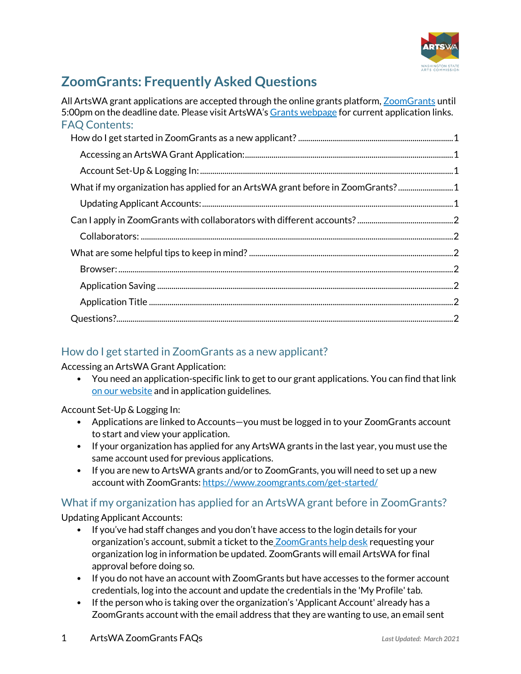

# **ZoomGrants: Frequently Asked Questions**

| All ArtsWA grant applications are accepted through the online grants platform, ZoomGrants until<br>5:00pm on the deadline date. Please visit ArtsWA's Grants webpage for current application links.<br><b>FAQ Contents:</b> |  |
|-----------------------------------------------------------------------------------------------------------------------------------------------------------------------------------------------------------------------------|--|
|                                                                                                                                                                                                                             |  |
|                                                                                                                                                                                                                             |  |
|                                                                                                                                                                                                                             |  |
| What if my organization has applied for an ArtsWA grant before in ZoomGrants?1                                                                                                                                              |  |
|                                                                                                                                                                                                                             |  |
|                                                                                                                                                                                                                             |  |
|                                                                                                                                                                                                                             |  |
|                                                                                                                                                                                                                             |  |
|                                                                                                                                                                                                                             |  |
|                                                                                                                                                                                                                             |  |
|                                                                                                                                                                                                                             |  |
|                                                                                                                                                                                                                             |  |

## <span id="page-0-0"></span>How do I get started in ZoomGrants as a new applicant?

<span id="page-0-1"></span>Accessing an ArtsWA Grant Application:

• You need an application-specific link to get to our grant applications. You can find that link [on our website](https://www.arts.wa.gov/grants/) and in application guidelines.

#### <span id="page-0-2"></span>Account Set-Up & Logging In:

- Applications are linked to Accounts—you must be logged in to your ZoomGrants account to start and view your application.
- If your organization has applied for any ArtsWA grants in the last year, you must use the same account used for previous applications.
- If you are new to ArtsWA grants and/or to ZoomGrants, you will need to set up a new account with ZoomGrants: <https://www.zoomgrants.com/get-started/>

## <span id="page-0-3"></span>What if my organization has applied for an ArtsWA grant before in ZoomGrants?

<span id="page-0-4"></span>Updating Applicant Accounts:

- If you've had staff changes and you don't have access to the login details for your organization's account, submit a ticket to the **[ZoomGrants help desk](https://zoomgrants.zendesk.com/hc/en-us/requests/new) requesting your** organization log in information be updated. ZoomGrants will email ArtsWA for final approval before doing so.
- If you do not have an account with ZoomGrants but have accesses to the former account credentials, log into the account and update the credentials in the 'My Profile' tab.
- If the person who is taking over the organization's 'Applicant Account' already has a ZoomGrants account with the email address that they are wanting to use, an email sent